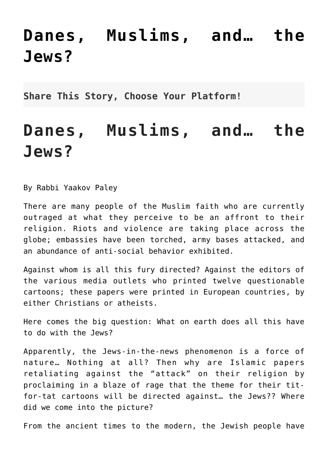## **[Danes, Muslims, and… the](http://noahide.org/danes-muslims-and-the-jews/) [Jews?](http://noahide.org/danes-muslims-and-the-jews/)**

**Share This Story, Choose Your Platform!**

## **Danes, Muslims, and… the Jews?**

By Rabbi Yaakov Paley

There are many people of the Muslim faith who are currently outraged at what they perceive to be an affront to their religion. Riots and violence are taking place across the globe; embassies have been torched, army bases attacked, and an abundance of anti-social behavior exhibited.

Against whom is all this fury directed? Against the editors of the various media outlets who printed twelve questionable cartoons; these papers were printed in European countries, by either Christians or atheists.

Here comes the big question: What on earth does all this have to do with the Jews?

Apparently, the Jews-in-the-news phenomenon is a force of nature… Nothing at all? Then why are Islamic papers retaliating against the "attack" on their religion by proclaiming in a blaze of rage that the theme for their titfor-tat cartoons will be directed against… the Jews?? Where did we come into the picture?

From the ancient times to the modern, the Jewish people have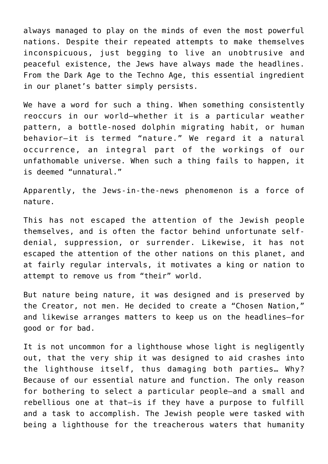always managed to play on the minds of even the most powerful nations. Despite their repeated attempts to make themselves inconspicuous, just begging to live an unobtrusive and peaceful existence, the Jews have always made the headlines. From the Dark Age to the Techno Age, this essential ingredient in our planet's batter simply persists.

We have a word for such a thing. When something consistently reoccurs in our world–whether it is a particular weather pattern, a bottle-nosed dolphin migrating habit, or human behavior–it is termed "nature." We regard it a natural occurrence, an integral part of the workings of our unfathomable universe. When such a thing fails to happen, it is deemed "unnatural."

Apparently, the Jews-in-the-news phenomenon is a force of nature.

This has not escaped the attention of the Jewish people themselves, and is often the factor behind unfortunate selfdenial, suppression, or surrender. Likewise, it has not escaped the attention of the other nations on this planet, and at fairly regular intervals, it motivates a king or nation to attempt to remove us from "their" world.

But nature being nature, it was designed and is preserved by the Creator, not men. He decided to create a "Chosen Nation," and likewise arranges matters to keep us on the headlines–for good or for bad.

It is not uncommon for a lighthouse whose light is negligently out, that the very ship it was designed to aid crashes into the lighthouse itself, thus damaging both parties… Why? Because of our essential nature and function. The only reason for bothering to select a particular people–and a small and rebellious one at that–is if they have a purpose to fulfill and a task to accomplish. The Jewish people were tasked with being a lighthouse for the treacherous waters that humanity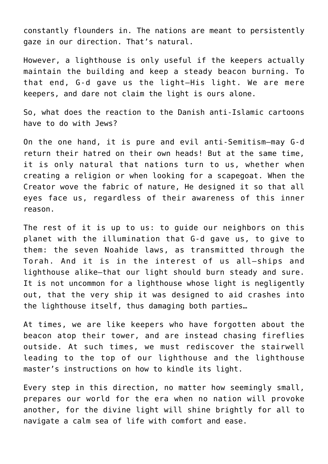constantly flounders in. The nations are meant to persistently gaze in our direction. That's natural.

However, a lighthouse is only useful if the keepers actually maintain the building and keep a steady beacon burning. To that end, G-d gave us the light–His light. We are mere keepers, and dare not claim the light is ours alone.

So, what does the reaction to the Danish anti-Islamic cartoons have to do with Jews?

On the one hand, it is pure and evil anti-Semitism–may G-d return their hatred on their own heads! But at the same time, it is only natural that nations turn to us, whether when creating a religion or when looking for a scapegoat. When the Creator wove the fabric of nature, He designed it so that all eyes face us, regardless of their awareness of this inner reason.

The rest of it is up to us: to guide our neighbors on this planet with the illumination that G-d gave us, to give to them: the seven Noahide laws, as transmitted through the Torah. And it is in the interest of us all–ships and lighthouse alike–that our light should burn steady and sure. It is not uncommon for a lighthouse whose light is negligently out, that the very ship it was designed to aid crashes into the lighthouse itself, thus damaging both parties…

At times, we are like keepers who have forgotten about the beacon atop their tower, and are instead chasing fireflies outside. At such times, we must rediscover the stairwell leading to the top of our lighthouse and the lighthouse master's instructions on how to kindle its light.

Every step in this direction, no matter how seemingly small, prepares our world for the era when no nation will provoke another, for the divine light will shine brightly for all to navigate a calm sea of life with comfort and ease.